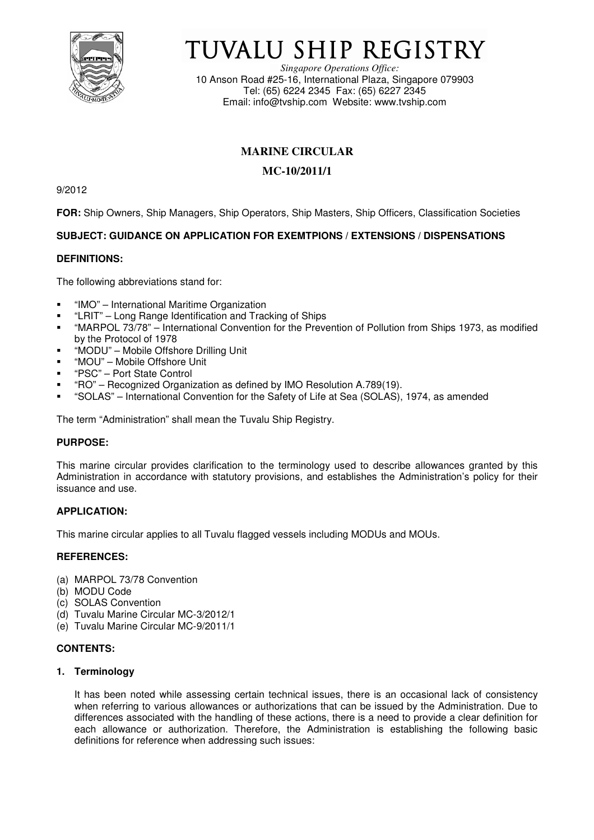

# TUVALU SHIP REGISTRY

*Singapore Operations Office:* 10 Anson Road #25-16, International Plaza, Singapore 079903 Tel: (65) 6224 2345 Fax: (65) 6227 2345 Email: info@tvship.com Website: www.tvship.com

## **MARINE CIRCULAR**

### **MC-10/2011/1**

9/2012

**FOR:** Ship Owners, Ship Managers, Ship Operators, Ship Masters, Ship Officers, Classification Societies

#### **SUBJECT: GUIDANCE ON APPLICATION FOR EXEMTPIONS / EXTENSIONS / DISPENSATIONS**

#### **DEFINITIONS:**

The following abbreviations stand for:

- "IMO" International Maritime Organization
- "LRIT" Long Range Identification and Tracking of Ships
- "MARPOL 73/78" International Convention for the Prevention of Pollution from Ships 1973, as modified by the Protocol of 1978
- "MODU" Mobile Offshore Drilling Unit
- "MOU" Mobile Offshore Unit
- "PSC" Port State Control
- "RO" Recognized Organization as defined by IMO Resolution A.789(19).
- "SOLAS" International Convention for the Safety of Life at Sea (SOLAS), 1974, as amended

The term "Administration" shall mean the Tuvalu Ship Registry.

#### **PURPOSE:**

This marine circular provides clarification to the terminology used to describe allowances granted by this Administration in accordance with statutory provisions, and establishes the Administration's policy for their issuance and use.

#### **APPLICATION:**

This marine circular applies to all Tuvalu flagged vessels including MODUs and MOUs.

#### **REFERENCES:**

- (a) MARPOL 73/78 Convention
- (b) MODU Code
- (c) SOLAS Convention
- (d) Tuvalu Marine Circular MC-3/2012/1
- (e) Tuvalu Marine Circular MC-9/2011/1

#### **CONTENTS:**

#### **1. Terminology**

It has been noted while assessing certain technical issues, there is an occasional lack of consistency when referring to various allowances or authorizations that can be issued by the Administration. Due to differences associated with the handling of these actions, there is a need to provide a clear definition for each allowance or authorization. Therefore, the Administration is establishing the following basic definitions for reference when addressing such issues: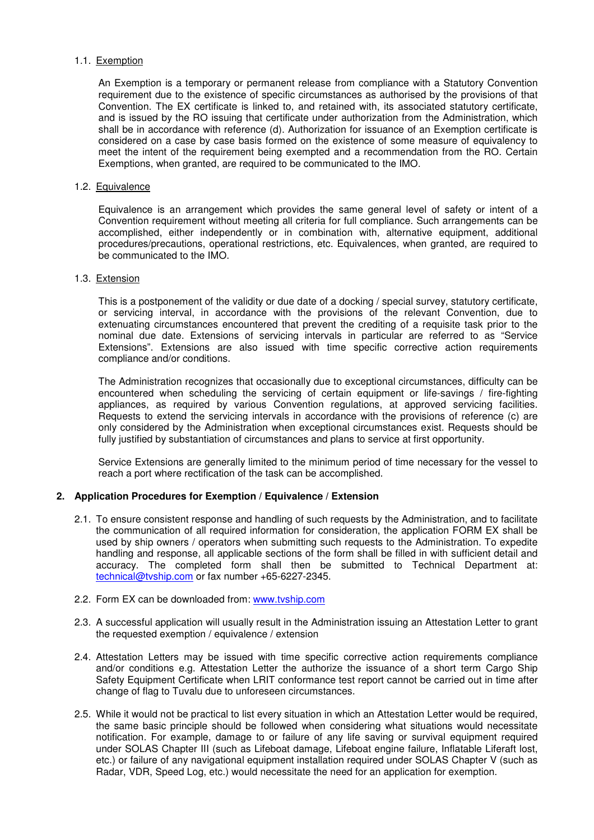#### 1.1. Exemption

An Exemption is a temporary or permanent release from compliance with a Statutory Convention requirement due to the existence of specific circumstances as authorised by the provisions of that Convention. The EX certificate is linked to, and retained with, its associated statutory certificate, and is issued by the RO issuing that certificate under authorization from the Administration, which shall be in accordance with reference (d). Authorization for issuance of an Exemption certificate is considered on a case by case basis formed on the existence of some measure of equivalency to meet the intent of the requirement being exempted and a recommendation from the RO. Certain Exemptions, when granted, are required to be communicated to the IMO.

#### 1.2. Equivalence

Equivalence is an arrangement which provides the same general level of safety or intent of a Convention requirement without meeting all criteria for full compliance. Such arrangements can be accomplished, either independently or in combination with, alternative equipment, additional procedures/precautions, operational restrictions, etc. Equivalences, when granted, are required to be communicated to the IMO.

#### 1.3. Extension

This is a postponement of the validity or due date of a docking / special survey, statutory certificate, or servicing interval, in accordance with the provisions of the relevant Convention, due to extenuating circumstances encountered that prevent the crediting of a requisite task prior to the nominal due date. Extensions of servicing intervals in particular are referred to as "Service Extensions". Extensions are also issued with time specific corrective action requirements compliance and/or conditions.

The Administration recognizes that occasionally due to exceptional circumstances, difficulty can be encountered when scheduling the servicing of certain equipment or life-savings / fire-fighting appliances, as required by various Convention regulations, at approved servicing facilities. Requests to extend the servicing intervals in accordance with the provisions of reference (c) are only considered by the Administration when exceptional circumstances exist. Requests should be fully justified by substantiation of circumstances and plans to service at first opportunity.

Service Extensions are generally limited to the minimum period of time necessary for the vessel to reach a port where rectification of the task can be accomplished.

#### **2. Application Procedures for Exemption / Equivalence / Extension**

- 2.1. To ensure consistent response and handling of such requests by the Administration, and to facilitate the communication of all required information for consideration, the application FORM EX shall be used by ship owners / operators when submitting such requests to the Administration. To expedite handling and response, all applicable sections of the form shall be filled in with sufficient detail and accuracy. The completed form shall then be submitted to Technical Department at: technical@tvship.com or fax number +65-6227-2345.
- 2.2. Form EX can be downloaded from: www.tvship.com
- 2.3. A successful application will usually result in the Administration issuing an Attestation Letter to grant the requested exemption / equivalence / extension
- 2.4. Attestation Letters may be issued with time specific corrective action requirements compliance and/or conditions e.g. Attestation Letter the authorize the issuance of a short term Cargo Ship Safety Equipment Certificate when LRIT conformance test report cannot be carried out in time after change of flag to Tuvalu due to unforeseen circumstances.
- 2.5. While it would not be practical to list every situation in which an Attestation Letter would be required, the same basic principle should be followed when considering what situations would necessitate notification. For example, damage to or failure of any life saving or survival equipment required under SOLAS Chapter III (such as Lifeboat damage, Lifeboat engine failure, Inflatable Liferaft lost, etc.) or failure of any navigational equipment installation required under SOLAS Chapter V (such as Radar, VDR, Speed Log, etc.) would necessitate the need for an application for exemption.